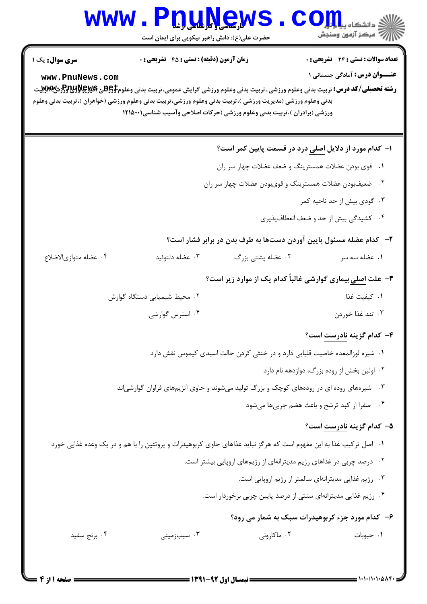## WWW.PnuNews.com .<br>\||// " مرکز آزمون وسنجش حضرت علی(ع): دانش راهبر نیکویی برای ایمان است تعداد سوالات : تستى : 24 - تشريحي : 0 **سری سوال :** یک ۱ **زمان آزمون (دقیقه) : تستی : 45 گشریحی: 0 عنــوان درس:** آمادگی جسمانی ۱ www.PnuNews.com **رشته تحصیلی/کد درس:** تربیت بدنی وعلوم ورزشی.،تربیت بدنی وعلوم ورزشی گرایش عمومی،تربیت بدنی وعلوم**‡95 \$يچ95 \$395 {{Pred}} \$**39. بدنی وعلوم ورزشی (مدیریت ورزشی )،تربیت بدنی وعلوم ورزشی،تربیت بدنی وعلوم ورزشی (خواهران )،تربیت بدنی وعلوم ورزشی (برادران )،تربیت بدنی وعلوم ورزشی (حرکات اصلاحی وآسیب شناسی1۲۱۵۰۰۱ ا– کدام مورد از دلایل اصلی درد در قسمت پایین کمر است؟ ٠١. قوى بودن عضلات همسترينگ و ضعف عضلات چهار سر ران ۰۲ ضعیفبودن عضلات همسترینگ و قویبودن عضلات چهار سر ران ۰۳ گودی بیش از حد ناحیه کمر ۰۴ کشیدگی بیش از حد و ضعف انعطافپذیری ۲- کدام عضله مسئول پایین آوردن دستها به طرف بدن در برابر فشار است؟ ۰۲ عضله پشتی بزرگ ۰۱ عضله سه سر ۰۴ عضله متوازى الاضلاع ۰۳ عضله دلتوئید **۳**- علت اصلی بیماری گوارشی غالباً کدام یک از موارد زیر است؟ ٠١. كىفىت غذا ۰۲ محیط شیمیایی دستگاه گوارش ۰۴ استرس گوارشی ۰۳ تند غذا خوردن ۴- کدام گزینه نادرست است؟ ٠١ شيره لوزالمعده خاصيت قليايي دارد و در خنثي كردن حالت اسيدي كيموس نقش دارد ۰۲ اولین بخش از روده بزرگ، دوازدهه نام دارد ۰۳ شیرههای روده ای در رودههای کوچک و بزرگ تولید میشوند و حاوی آنزیمهای فراوان گوارشی|ند ۴. صفرا از کبد ترشح و باعث هضم چربی ها می شود ۵- کدام گزینه نادرست است؟ ۱. اصل ترکیب غذا به این مفهوم است که هرگز نباید غذاهای حاوی کربوهیدرات و پروتئین را با هم و در یک وعده غذایی خورد ۰۲ درصد چربی در غذاهای رژیم مدیترانهای از رژیمهای اروپایی بیشتر است. ۰۳ رژیم غذایی مدیترانهای سالمتر از رژیم اروپایی است. ۰۴ رژیم غذایی مدیترانهای سنتی از درصد پایین چربی برخوردار است. ۶- کدام مورد جزء کربوهیدرات سبک به شمار می رود؟ ۰۲ ماکارونی ۰۳ سیبزمینی ۰۱ حبوبات ۰۴ برنج سفید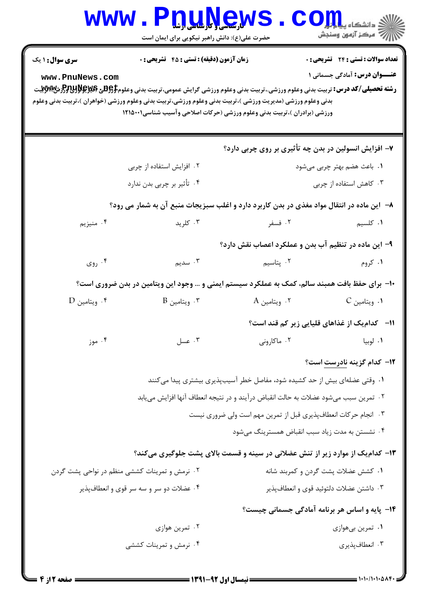|                                                                                                                                                                                                                                                                                                                                                                                                                                                                                                                                | <b>WWW.PDUAGWS</b><br>حضرت علی(ع): دانش راهبر نیکویی برای ایمان است                       |                                                                            | .<br>3. دانشگاه پی <mark>اب</mark> ا<br>رآ مرکز آزمون وسنجش |  |  |
|--------------------------------------------------------------------------------------------------------------------------------------------------------------------------------------------------------------------------------------------------------------------------------------------------------------------------------------------------------------------------------------------------------------------------------------------------------------------------------------------------------------------------------|-------------------------------------------------------------------------------------------|----------------------------------------------------------------------------|-------------------------------------------------------------|--|--|
| <b>زمان آزمون (دقیقه) : تستی : 45 تشریحی : 0</b><br><b>تعداد سوالات : تستی : 24 ۔ تشریحی : 0</b><br><b>سری سوال : ۱ یک</b><br><b>عنـــوان درس:</b> آمادگی جسمانی ۱<br>www.PnuNews.com<br><b>رشته تحصیلی/کد درس:</b> تربیت بدنی وعلوم ورزشی.،تربیت بدنی وعلوم ورزشی گرایش عمومی،تربیت بدنی وعلوم\$ <del>PU3</del> لاق&و\$PU3لرش&WWتيت<br>بدنی وعلوم ورزشی (مدیریت ورزشی )،تربیت بدنی وعلوم ورزشی،تربیت بدنی وعلوم ورزشی (خواهران )،تربیت بدنی وعلوم<br>ورزشی (برادران )،تربیت بدنی وعلوم ورزشی (حرکات اصلاحی وآسیب شناسی1۲۱۵۰۰۱ |                                                                                           |                                                                            |                                                             |  |  |
|                                                                                                                                                                                                                                                                                                                                                                                                                                                                                                                                |                                                                                           | ۷- افزایش انسولین در بدن چه تأثیری بر روی چربی دارد؟                       |                                                             |  |  |
|                                                                                                                                                                                                                                                                                                                                                                                                                                                                                                                                | ۰۲ افزایش استفاده از چربی                                                                 | ۰۱ باعث هضم بهتر چربی میشود                                                |                                                             |  |  |
|                                                                                                                                                                                                                                                                                                                                                                                                                                                                                                                                | ۰۴ تأثیر بر چربی بدن ندارد                                                                | ۰۳ کاهش استفاده از چربی                                                    |                                                             |  |  |
|                                                                                                                                                                                                                                                                                                                                                                                                                                                                                                                                | ۸– آین ماده در انتقال مواد مغذی در بدن کاربرد دارد و اغلب سبزیجات منبع آن به شمار می رود؟ |                                                                            |                                                             |  |  |
| ۰۴ منيزيم                                                                                                                                                                                                                                                                                                                                                                                                                                                                                                                      | ۰۳ کلريد                                                                                  | ۰۲ فسفر                                                                    | ٠١. كلسيم                                                   |  |  |
|                                                                                                                                                                                                                                                                                                                                                                                                                                                                                                                                |                                                                                           | ۹- این ماده در تنظیم آب بدن و عملکرد اعصاب نقش دارد؟                       |                                                             |  |  |
| ۰۴ روی                                                                                                                                                                                                                                                                                                                                                                                                                                                                                                                         | ۰۳ سدیم                                                                                   | ۰۲ پتاسیم                                                                  | ۰۱ کروم                                                     |  |  |
| <b>۱۰</b> - برای حفظ بافت همبند سالم، کمک به عملکرد سیستم ایمنی و … وجود این ویتامین در بدن ضروری است؟                                                                                                                                                                                                                                                                                                                                                                                                                         |                                                                                           |                                                                            |                                                             |  |  |
| ۰۴ ویتامین D                                                                                                                                                                                                                                                                                                                                                                                                                                                                                                                   | $^{\circ}$ 9 . ويتامين $^{\circ}$                                                         | ۰۲ ویتامین A                                                               | ۰۱ ویتامین C                                                |  |  |
|                                                                                                                                                                                                                                                                                                                                                                                                                                                                                                                                |                                                                                           |                                                                            | 11- کدام یک از غذاهای قلیایی زیر کم قند است؟                |  |  |
| ۰۴ موز                                                                                                                                                                                                                                                                                                                                                                                                                                                                                                                         | ۰۳ عسل                                                                                    | ۰۲ ماکارونی                                                                | ٠١ لوبيا                                                    |  |  |
|                                                                                                                                                                                                                                                                                                                                                                                                                                                                                                                                |                                                                                           |                                                                            | 1۲– کدام گزینه نادرست است؟                                  |  |  |
|                                                                                                                                                                                                                                                                                                                                                                                                                                                                                                                                |                                                                                           | ۰۱ وقتی عضلهای بیش از حد کشیده شود، مفاصل خطر آسیبپذیری بیشتری پیدا میکنند |                                                             |  |  |
|                                                                                                                                                                                                                                                                                                                                                                                                                                                                                                                                | ٠٢ تمرين سبب ميشود عضلات به حالت انقباض درآيند و در نتيجه انعطاف آنها افزايش مييابد       |                                                                            |                                                             |  |  |
| ۰۳ انجام حرکات انعطافپذیری قبل از تمرین مهم است ولی ضروری نیست                                                                                                                                                                                                                                                                                                                                                                                                                                                                 |                                                                                           |                                                                            |                                                             |  |  |
| ۰۴ نشستن به مدت زیاد سبب انقباض همسترینگ میشود                                                                                                                                                                                                                                                                                                                                                                                                                                                                                 |                                                                                           |                                                                            |                                                             |  |  |
| ۱۳- کدام یک از موارد زیر از تنش عضلانی در سینه و قسمت بالای پشت جلوگیری میکند؟                                                                                                                                                                                                                                                                                                                                                                                                                                                 |                                                                                           |                                                                            |                                                             |  |  |
| ۰۲ نرمش و تمرینات کششی منظم در نواحی پشت گردن                                                                                                                                                                                                                                                                                                                                                                                                                                                                                  |                                                                                           |                                                                            | ٠١ كشش عضلات پشت گردن و كمربند شانه                         |  |  |
|                                                                                                                                                                                                                                                                                                                                                                                                                                                                                                                                | ۰۴ عضلات دو سر و سه سر قوی و انعطافپذیر                                                   |                                                                            | ۰۳ داشتن عضلات دلتوئيد قوى و انعطافپذير                     |  |  |
| ۱۴- پایه و اساس هر برنامه آمادگی جسمانی چیست؟                                                                                                                                                                                                                                                                                                                                                                                                                                                                                  |                                                                                           |                                                                            |                                                             |  |  |
|                                                                                                                                                                                                                                                                                                                                                                                                                                                                                                                                | ۰۲ تمرین هوازی                                                                            |                                                                            | ۰۱ تمرین بیهوازی                                            |  |  |
|                                                                                                                                                                                                                                                                                                                                                                                                                                                                                                                                | ۰۴ نرمش و تمرینات کششی                                                                    |                                                                            | ۰۳ انعطافپذیری                                              |  |  |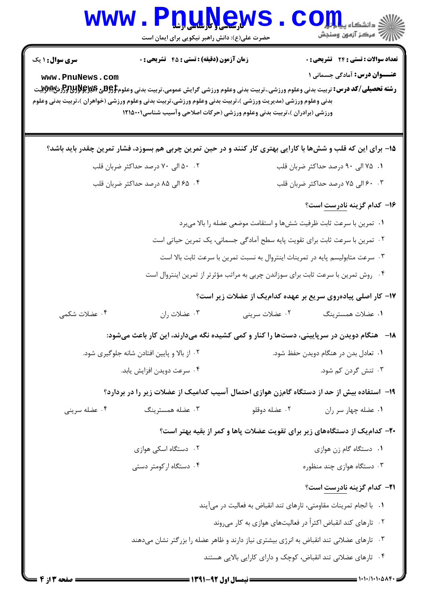|                                                                                          | <b>www.Pnunews</b><br>حضرت علی(ع): دانش راهبر نیکویی برای ایمان است                                                                                                                                                                        |                                   | الا دانشگاه پیاه برای استفاده با این دانشگاه<br>این مرکز آزمون وسنجش                                                                                                                                                       |  |  |
|------------------------------------------------------------------------------------------|--------------------------------------------------------------------------------------------------------------------------------------------------------------------------------------------------------------------------------------------|-----------------------------------|----------------------------------------------------------------------------------------------------------------------------------------------------------------------------------------------------------------------------|--|--|
| <b>سری سوال : ۱ یک</b><br>www.PnuNews.com                                                | <b>زمان آزمون (دقیقه) : تستی : 45 تشریحی : 0</b><br>بدنی وعلوم ورزشی (مدیریت ورزشی )،تربیت بدنی وعلوم ورزشی،تربیت بدنی وعلوم ورزشی (خواهران )،تربیت بدنی وعلوم<br>ورزشی (برادران )،تربیت بدنی وعلوم ورزشی (حرکات اصلاحی وآسیب شناسی۱۲۱۵۰۰۱ |                                   | تعداد سوالات : تستي : 24 - تشريحي : 0<br><b>عنـــوان درس:</b> آمادگی جسمانی ۱<br><b>رشته تحصیلی/کد درس:</b> تربیت بدنی وعلوم ورزشی.،تربیت بدنی وعلوم ورزشی گرایش عمومی،تربیت بدنی وعلوم\$ <del>PU3 و PU3Sر</del> زش&yyxبیت |  |  |
|                                                                                          |                                                                                                                                                                                                                                            |                                   | ۱۵– برای این که قلب و ششها با کارایی بهتری کار کنند و در حین تمرین چربی هم بسوزد، فشار تمرین چقدر باید باشد؟                                                                                                               |  |  |
|                                                                                          | ۰۰ ۸ الی ۷۰ درصد حداکثر ضربان قلب                                                                                                                                                                                                          |                                   | ۰۱ ۷۵ الی ۹۰ درصد حداکثر ضربان قلب                                                                                                                                                                                         |  |  |
| ۰۴ ـ ۶۵ الى ۸۵ درصد حداكثر ضربان قلب                                                     |                                                                                                                                                                                                                                            | ۰۳ ج الی ۷۵ درصد حداکثر ضربان قلب |                                                                                                                                                                                                                            |  |  |
|                                                                                          |                                                                                                                                                                                                                                            |                                   | <b>۱۶</b> کدام گزینه <u>نادرست</u> است؟                                                                                                                                                                                    |  |  |
| ۰۱ تمرین با سرعت ثابت ظرفیت شش۵ا و استقامت موضعی عضله را بالا میبرد                      |                                                                                                                                                                                                                                            |                                   |                                                                                                                                                                                                                            |  |  |
| ۰۲ تمرین با سرعت ثابت برای تقویت پایه سطح آمادگی جسمانی، یک تمرین حیاتی است              |                                                                                                                                                                                                                                            |                                   |                                                                                                                                                                                                                            |  |  |
|                                                                                          | ۰۳ سرعت متابولیسم پایه در تمرینات اینتروال به نسبت تمرین با سرعت ثابت بالا است                                                                                                                                                             |                                   |                                                                                                                                                                                                                            |  |  |
|                                                                                          |                                                                                                                                                                                                                                            |                                   | ۰۴ روش تمرین با سرعت ثابت برای سوزاندن چربی به مراتب مؤثرتر از تمرین اینتروال است                                                                                                                                          |  |  |
|                                                                                          |                                                                                                                                                                                                                                            |                                   | ۱۷– کار اصلی پیادهروی سریع بر عهده کدامیک از عضلات زیر است؟                                                                                                                                                                |  |  |
| ۰۴ عضلات شکمی                                                                            | ۰۳ عضلات ران                                                                                                                                                                                                                               | ۰۲ عضلات سريني                    | ۰۱ عضلات همسترينگ                                                                                                                                                                                                          |  |  |
|                                                                                          |                                                                                                                                                                                                                                            |                                   | <b>۱۸</b> - هنگام دویدن در سرپایینی، دستها را کنار و کمی کشیده نگه میدارند، این کار باعث میشود:                                                                                                                            |  |  |
| ۰۲ از بالا و پایین افتادن شانه جلوگیری شود.                                              |                                                                                                                                                                                                                                            |                                   | ۰۱ تعادل بدن در هنگام دویدن حفظ شود.                                                                                                                                                                                       |  |  |
| ۰۴ سرعت دويدن افزايش يابد.                                                               |                                                                                                                                                                                                                                            |                                   | ۰۳ تنش گردن کم شود.                                                                                                                                                                                                        |  |  |
|                                                                                          |                                                                                                                                                                                                                                            |                                   | ۱۹– استفاده بیش از حد از دستگاه گامزن هوازی احتمال آسیب کدامیک از عضلات زیر را در بردارد؟                                                                                                                                  |  |  |
| ۰۴ عضله سريني                                                                            | ۰۳ عضله همسترینگ                                                                                                                                                                                                                           | ۰۲ عضله دوقلو                     | ۰۱ عضله چهار سر ران                                                                                                                                                                                                        |  |  |
| ۴۰– کدام یک از دستگاههای زیر برای تقویت عضلات پاها و کمر از بقیه بهتر است؟               |                                                                                                                                                                                                                                            |                                   |                                                                                                                                                                                                                            |  |  |
|                                                                                          | ۰۲ دستگاه اسکی هوازی                                                                                                                                                                                                                       |                                   | ٠١ دستگاه گام زن هوازي                                                                                                                                                                                                     |  |  |
|                                                                                          | ۰۴ دستگاه ار کومتر دستی                                                                                                                                                                                                                    |                                   | ۰۳ دستگاه هوازی چند منظوره                                                                                                                                                                                                 |  |  |
|                                                                                          |                                                                                                                                                                                                                                            |                                   | <b>31- كدام گزينه نادرست است</b> ؟                                                                                                                                                                                         |  |  |
| ٠١. با انجام تمرينات مقاومتي، تارهاي تند انقباض به فعاليت در مي آيند                     |                                                                                                                                                                                                                                            |                                   |                                                                                                                                                                                                                            |  |  |
| ۰۲ تارهای کند انقباض اکثراً در فعالیتهای هوازی به کار میروند                             |                                                                                                                                                                                                                                            |                                   |                                                                                                                                                                                                                            |  |  |
| ۰۳ تارهای عضلانی تند انقباض به انرژی بیشتری نیاز دارند و ظاهر عضله را بزرگتر نشان میدهند |                                                                                                                                                                                                                                            |                                   |                                                                                                                                                                                                                            |  |  |
|                                                                                          |                                                                                                                                                                                                                                            |                                   | ۰۴ تارهای عضلانی تند انقباض، کوچک و دارای کارایی بالایی هستند                                                                                                                                                              |  |  |
| <b>صفحه ۱۳ از ۴ ـــ</b>                                                                  |                                                                                                                                                                                                                                            | = نیمسال اول 92-1391              | = 1・1・/1・1・△ハ۴・                                                                                                                                                                                                            |  |  |